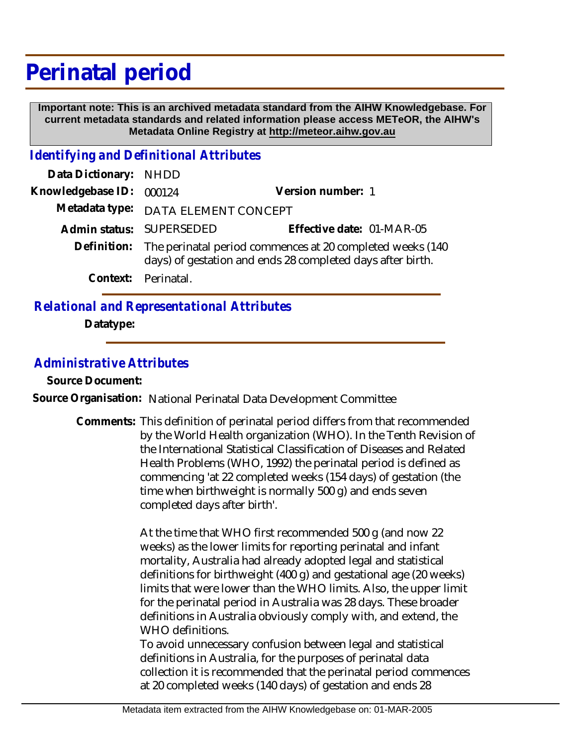## **Perinatal period**

 **Important note: This is an archived metadata standard from the AIHW Knowledgebase. For current metadata standards and related information please access METeOR, the AIHW's Metadata Online Registry at http://meteor.aihw.gov.au**

*Identifying and Definitional Attributes*

| Data Dictionary: NHDD    |                                                                                                                                     |                           |  |
|--------------------------|-------------------------------------------------------------------------------------------------------------------------------------|---------------------------|--|
| Knowledgebase ID: 000124 |                                                                                                                                     | Version number: 1         |  |
|                          | Metadata type: DATA ELEMENT CONCEPT                                                                                                 |                           |  |
|                          | Admin status: SUPERSEDED                                                                                                            | Effective date: 01-MAR-05 |  |
|                          | Definition: The perinatal period commences at 20 completed weeks (140<br>days) of gestation and ends 28 completed days after birth. |                           |  |
|                          | Context: Perinatal.                                                                                                                 |                           |  |
|                          |                                                                                                                                     |                           |  |

## *Relational and Representational Attributes*

**Datatype:**

## *Administrative Attributes*

**Source Document:**

**Source Organisation:** National Perinatal Data Development Committee

Comments: This definition of perinatal period differs from that recommended by the World Health organization (WHO). In the Tenth Revision of the International Statistical Classification of Diseases and Related Health Problems (WHO, 1992) the perinatal period is defined as commencing 'at 22 completed weeks (154 days) of gestation (the time when birthweight is normally 500 g) and ends seven completed days after birth'.

> At the time that WHO first recommended 500 g (and now 22 weeks) as the lower limits for reporting perinatal and infant mortality, Australia had already adopted legal and statistical definitions for birthweight (400 g) and gestational age (20 weeks) limits that were lower than the WHO limits. Also, the upper limit for the perinatal period in Australia was 28 days. These broader definitions in Australia obviously comply with, and extend, the WHO definitions.

> To avoid unnecessary confusion between legal and statistical definitions in Australia, for the purposes of perinatal data collection it is recommended that the perinatal period commences at 20 completed weeks (140 days) of gestation and ends 28